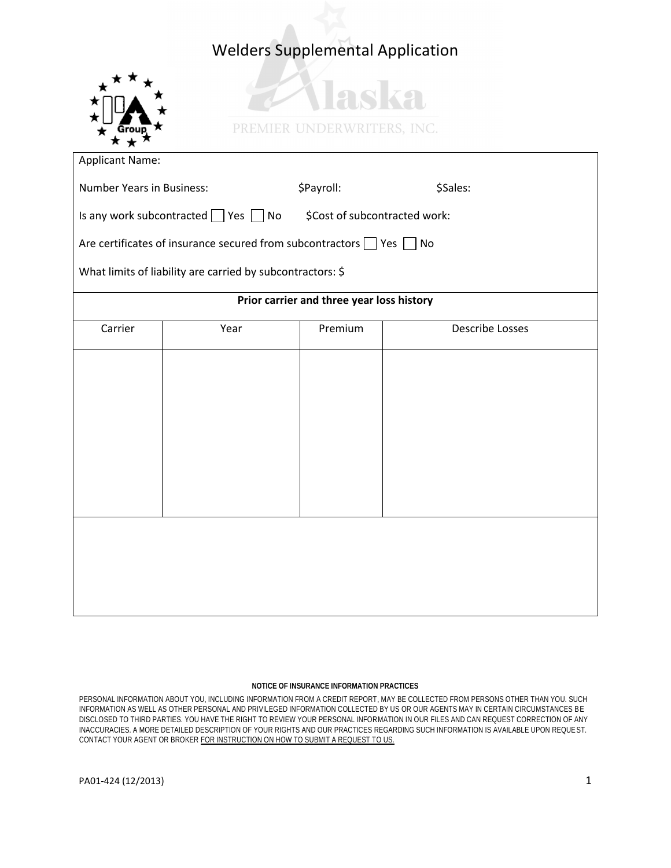## Welders Supplemental Application



| <b>Number Years in Business:</b>                                                |      | \$Payroll: | \$Sales:               |  |  |
|---------------------------------------------------------------------------------|------|------------|------------------------|--|--|
| Is any work subcontracted $\Box$ Yes $\Box$ No<br>\$Cost of subcontracted work: |      |            |                        |  |  |
| Are certificates of insurance secured from subcontractors $\Box$ Yes $\Box$ No  |      |            |                        |  |  |
| What limits of liability are carried by subcontractors: \$                      |      |            |                        |  |  |
| Prior carrier and three year loss history                                       |      |            |                        |  |  |
| Carrier                                                                         | Year | Premium    | <b>Describe Losses</b> |  |  |
|                                                                                 |      |            |                        |  |  |
|                                                                                 |      |            |                        |  |  |
|                                                                                 |      |            |                        |  |  |
|                                                                                 |      |            |                        |  |  |
|                                                                                 |      |            |                        |  |  |
|                                                                                 |      |            |                        |  |  |
|                                                                                 |      |            |                        |  |  |
|                                                                                 |      |            |                        |  |  |
|                                                                                 |      |            |                        |  |  |
|                                                                                 |      |            |                        |  |  |

## **NOTICE OF INSURANCE INFORMATION PRACTICES**

PERSONAL INFORMATION ABOUT YOU, INCLUDING INFORMATION FROM A CREDIT REPORT, MAY BE COLLECTED FROM PERSONS OTHER THAN YOU. SUCH INFORMATION AS WELL AS OTHER PERSONAL AND PRIVILEGED INFORMATION COLLECTED BY US OR OUR AGENTS MAY IN CERTAIN CIRCUMSTANCES BE DISCLOSED TO THIRD PARTIES. YOU HAVE THE RIGHT TO REVIEW YOUR PERSONAL INFORMATION IN OUR FILES AND CAN REQUEST CORRECTION OF ANY INACCURACIES. A MORE DETAILED DESCRIPTION OF YOUR RIGHTS AND OUR PRACTICES REGARDING SUCH INFORMATION IS AVAILABLE UPON REQUE ST. CONTACT YOUR AGENT OR BROKER FOR INSTRUCTION ON HOW TO SUBMIT A REQUEST TO US.